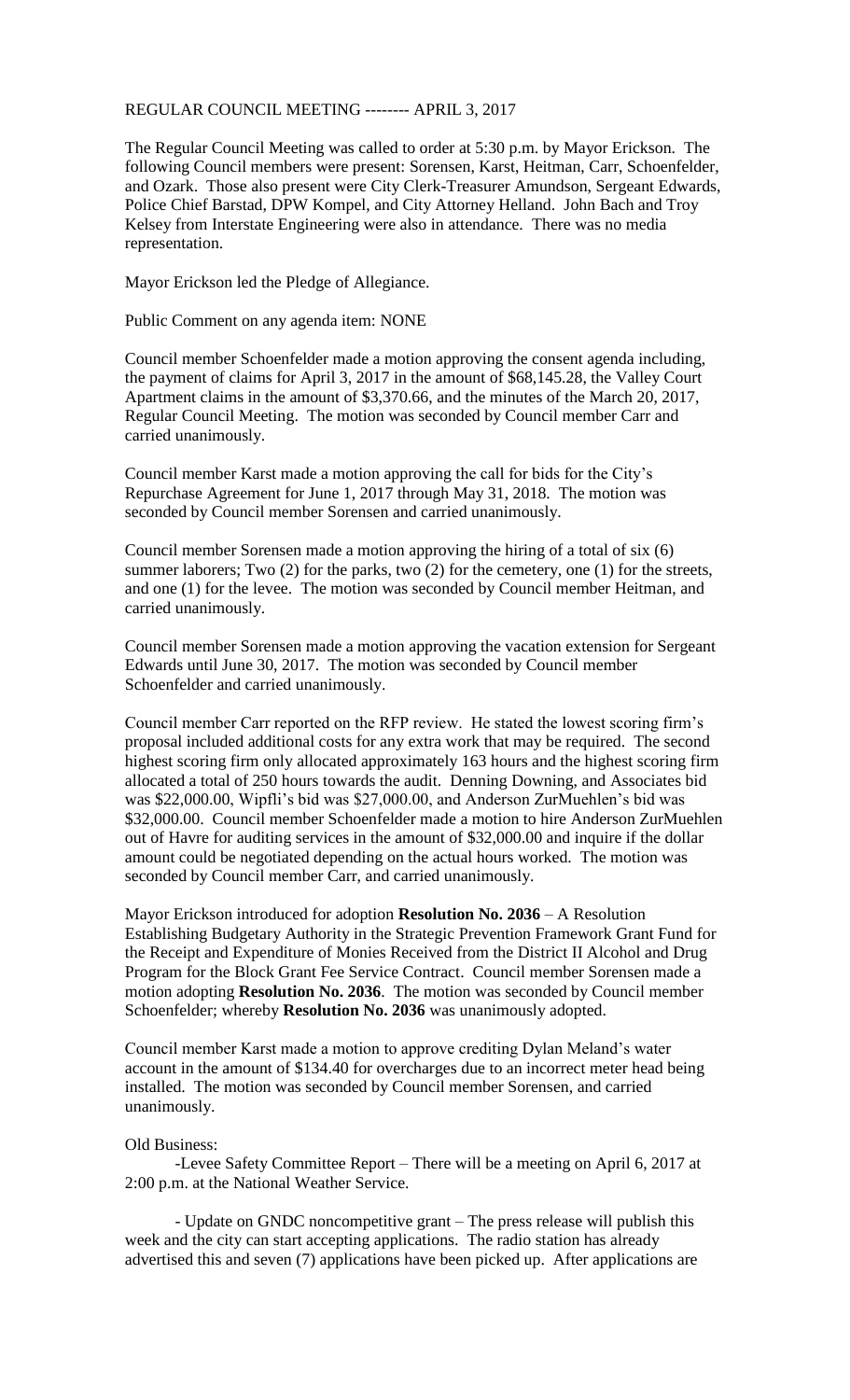## REGULAR COUNCIL MEETING -------- APRIL 3, 2017

The Regular Council Meeting was called to order at 5:30 p.m. by Mayor Erickson. The following Council members were present: Sorensen, Karst, Heitman, Carr, Schoenfelder, and Ozark. Those also present were City Clerk-Treasurer Amundson, Sergeant Edwards, Police Chief Barstad, DPW Kompel, and City Attorney Helland. John Bach and Troy Kelsey from Interstate Engineering were also in attendance. There was no media representation.

Mayor Erickson led the Pledge of Allegiance.

Public Comment on any agenda item: NONE

Council member Schoenfelder made a motion approving the consent agenda including, the payment of claims for April 3, 2017 in the amount of \$68,145.28, the Valley Court Apartment claims in the amount of \$3,370.66, and the minutes of the March 20, 2017, Regular Council Meeting. The motion was seconded by Council member Carr and carried unanimously.

Council member Karst made a motion approving the call for bids for the City's Repurchase Agreement for June 1, 2017 through May 31, 2018. The motion was seconded by Council member Sorensen and carried unanimously.

Council member Sorensen made a motion approving the hiring of a total of six (6) summer laborers; Two (2) for the parks, two (2) for the cemetery, one (1) for the streets, and one (1) for the levee. The motion was seconded by Council member Heitman, and carried unanimously.

Council member Sorensen made a motion approving the vacation extension for Sergeant Edwards until June 30, 2017. The motion was seconded by Council member Schoenfelder and carried unanimously.

Council member Carr reported on the RFP review. He stated the lowest scoring firm's proposal included additional costs for any extra work that may be required. The second highest scoring firm only allocated approximately 163 hours and the highest scoring firm allocated a total of 250 hours towards the audit. Denning Downing, and Associates bid was \$22,000.00, Wipfli's bid was \$27,000.00, and Anderson ZurMuehlen's bid was \$32,000.00. Council member Schoenfelder made a motion to hire Anderson ZurMuehlen out of Havre for auditing services in the amount of \$32,000.00 and inquire if the dollar amount could be negotiated depending on the actual hours worked. The motion was seconded by Council member Carr, and carried unanimously.

Mayor Erickson introduced for adoption **Resolution No. 2036** – A Resolution Establishing Budgetary Authority in the Strategic Prevention Framework Grant Fund for the Receipt and Expenditure of Monies Received from the District II Alcohol and Drug Program for the Block Grant Fee Service Contract. Council member Sorensen made a motion adopting **Resolution No. 2036**. The motion was seconded by Council member Schoenfelder; whereby **Resolution No. 2036** was unanimously adopted.

Council member Karst made a motion to approve crediting Dylan Meland's water account in the amount of \$134.40 for overcharges due to an incorrect meter head being installed. The motion was seconded by Council member Sorensen, and carried unanimously.

## Old Business:

-Levee Safety Committee Report – There will be a meeting on April 6, 2017 at 2:00 p.m. at the National Weather Service.

- Update on GNDC noncompetitive grant – The press release will publish this week and the city can start accepting applications. The radio station has already advertised this and seven (7) applications have been picked up. After applications are